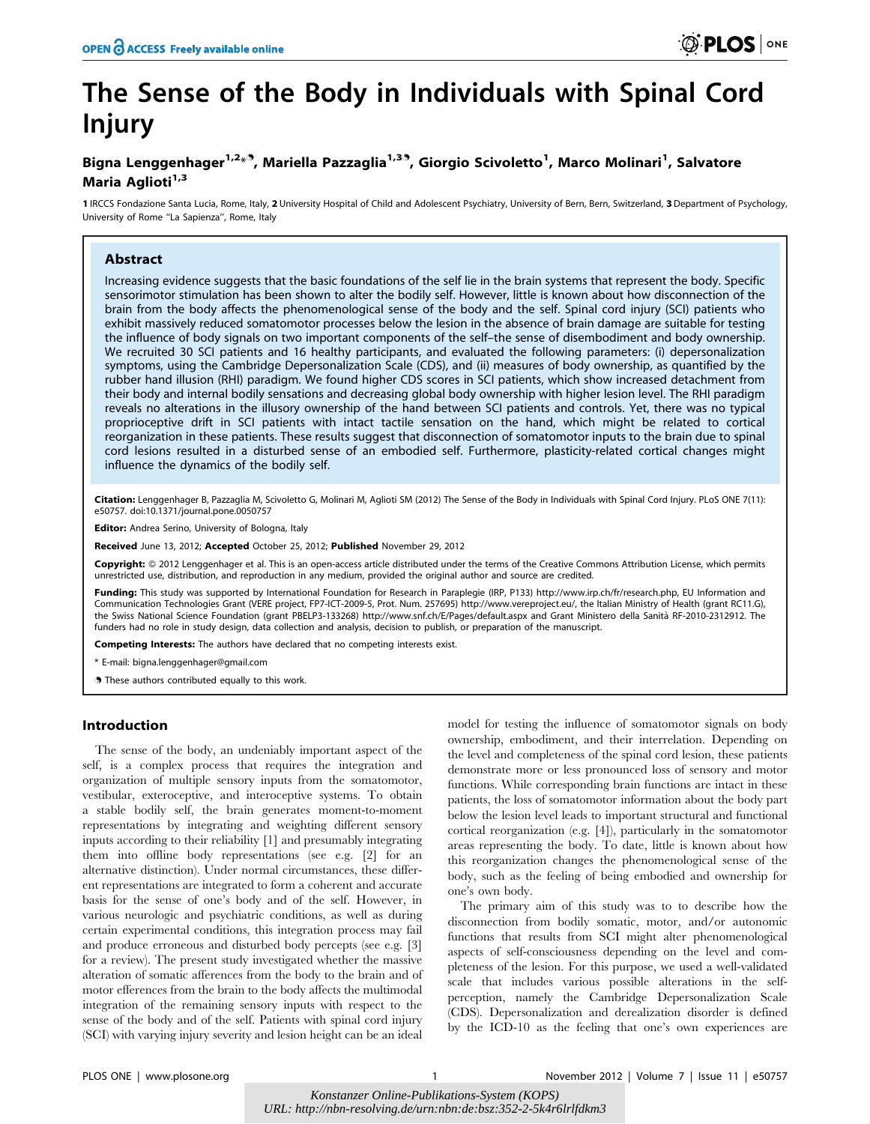# The Sense of the Body in Individuals with Spinal Cord Injury

### Bigna Lenggenhager<sup>1,2</sup>\*<sup>9</sup>, Mariella Pazzaglia<sup>1,39</sup>, Giorgio Scivoletto<sup>1</sup>, Marco Molinari<sup>1</sup>, Salvatore Maria Aglioti<sup>1,3</sup>

1 IRCCS Fondazione Santa Lucia, Rome, Italy, 2 University Hospital of Child and Adolescent Psychiatry, University of Bern, Bern, Switzerland, 3 Department of Psychology, University of Rome ''La Sapienza'', Rome, Italy

#### Abstract

Increasing evidence suggests that the basic foundations of the self lie in the brain systems that represent the body. Specific sensorimotor stimulation has been shown to alter the bodily self. However, little is known about how disconnection of the brain from the body affects the phenomenological sense of the body and the self. Spinal cord injury (SCI) patients who exhibit massively reduced somatomotor processes below the lesion in the absence of brain damage are suitable for testing the influence of body signals on two important components of the self–the sense of disembodiment and body ownership. We recruited 30 SCI patients and 16 healthy participants, and evaluated the following parameters: (i) depersonalization symptoms, using the Cambridge Depersonalization Scale (CDS), and (ii) measures of body ownership, as quantified by the rubber hand illusion (RHI) paradigm. We found higher CDS scores in SCI patients, which show increased detachment from their body and internal bodily sensations and decreasing global body ownership with higher lesion level. The RHI paradigm reveals no alterations in the illusory ownership of the hand between SCI patients and controls. Yet, there was no typical proprioceptive drift in SCI patients with intact tactile sensation on the hand, which might be related to cortical reorganization in these patients. These results suggest that disconnection of somatomotor inputs to the brain due to spinal cord lesions resulted in a disturbed sense of an embodied self. Furthermore, plasticity-related cortical changes might influence the dynamics of the bodily self.

Citation: Lenggenhager B, Pazzaglia M, Scivoletto G, Molinari M, Aglioti SM (2012) The Sense of the Body in Individuals with Spinal Cord Injury. PLoS ONE 7(11): e50757. doi:10.1371/journal.pone.0050757

Editor: Andrea Serino, University of Bologna, Italy

Received June 13, 2012; Accepted October 25, 2012; Published November 29, 2012

Copyright: @ 2012 Lenggenhager et al. This is an open-access article distributed under the terms of the Creative Commons Attribution License, which permits unrestricted use, distribution, and reproduction in any medium, provided the original author and source are credited.

Funding: This study was supported by International Foundation for Research in Paraplegie (IRP, P133) http://www.irp.ch/fr/research.php, EU Information and Communication Technologies Grant (VERE project, FP7-ICT-2009-5, Prot. Num. 257695) http://www.vereproject.eu/, the Italian Ministry of Health (grant RC11.G), the Swiss National Science Foundation (grant PBELP3-133268) http://www.snf.ch/E/Pages/default.aspx and Grant Ministero della Sanita` RF-2010-2312912. The funders had no role in study design, data collection and analysis, decision to publish, or preparation of the manuscript.

Competing Interests: The authors have declared that no competing interests exist.

\* E-mail: bigna.lenggenhager@gmail.com

**These authors contributed equally to this work.** 

#### Introduction

The sense of the body, an undeniably important aspect of the self, is a complex process that requires the integration and organization of multiple sensory inputs from the somatomotor, vestibular, exteroceptive, and interoceptive systems. To obtain a stable bodily self, the brain generates moment-to-moment representations by integrating and weighting different sensory inputs according to their reliability [1] and presumably integrating them into offline body representations (see e.g. [2] for an alternative distinction). Under normal circumstances, these different representations are integrated to form a coherent and accurate basis for the sense of one's body and of the self. However, in various neurologic and psychiatric conditions, as well as during certain experimental conditions, this integration process may fail and produce erroneous and disturbed body percepts (see e.g. [3] for a review). The present study investigated whether the massive alteration of somatic afferences from the body to the brain and of motor efferences from the brain to the body affects the multimodal integration of the remaining sensory inputs with respect to the sense of the body and of the self. Patients with spinal cord injury (SCI) with varying injury severity and lesion height can be an ideal

model for testing the influence of somatomotor signals on body ownership, embodiment, and their interrelation. Depending on the level and completeness of the spinal cord lesion, these patients demonstrate more or less pronounced loss of sensory and motor functions. While corresponding brain functions are intact in these patients, the loss of somatomotor information about the body part below the lesion level leads to important structural and functional cortical reorganization (e.g. [4]), particularly in the somatomotor areas representing the body. To date, little is known about how this reorganization changes the phenomenological sense of the body, such as the feeling of being embodied and ownership for one's own body.

The primary aim of this study was to to describe how the disconnection from bodily somatic, motor, and/or autonomic functions that results from SCI might alter phenomenological aspects of self-consciousness depending on the level and completeness of the lesion. For this purpose, we used a well-validated scale that includes various possible alterations in the selfperception, namely the Cambridge Depersonalization Scale (CDS). Depersonalization and derealization disorder is defined by the ICD-10 as the feeling that one's own experiences are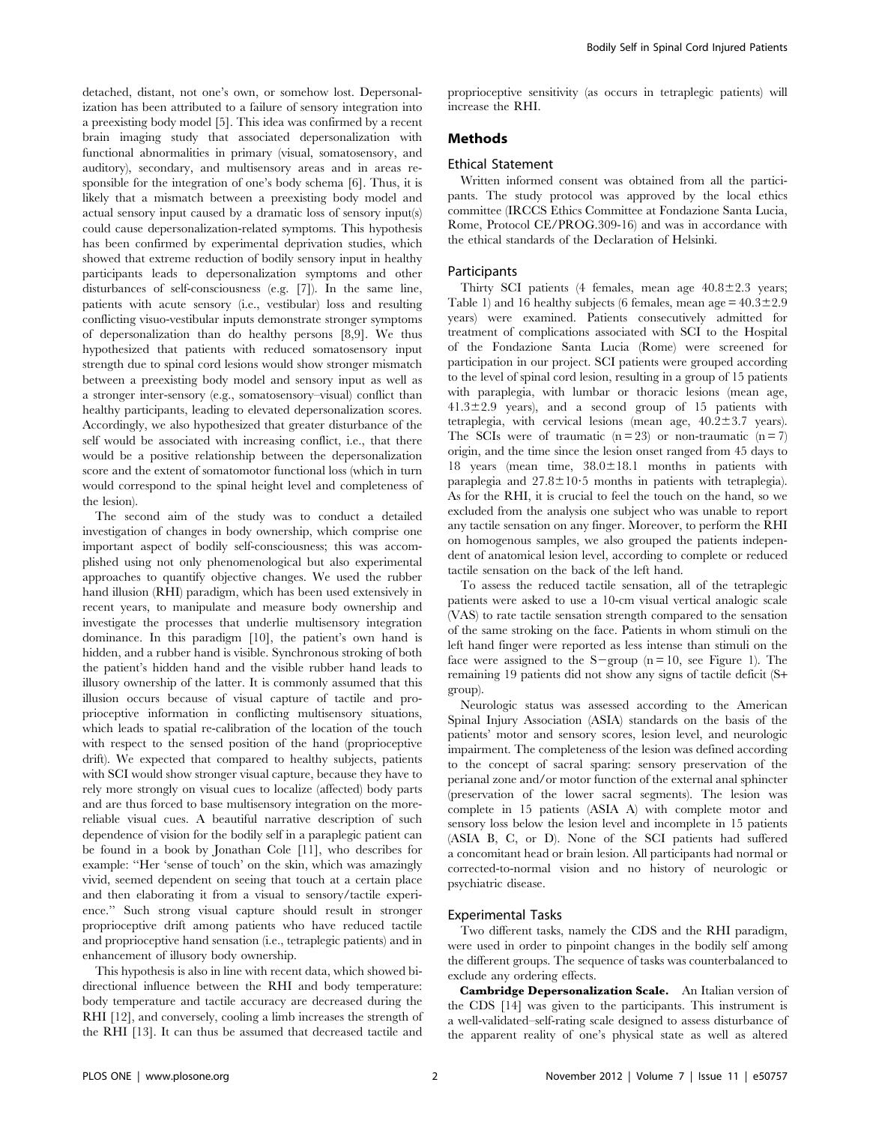detached, distant, not one's own, or somehow lost. Depersonalization has been attributed to a failure of sensory integration into a preexisting body model [5]. This idea was confirmed by a recent brain imaging study that associated depersonalization with functional abnormalities in primary (visual, somatosensory, and auditory), secondary, and multisensory areas and in areas responsible for the integration of one's body schema [6]. Thus, it is likely that a mismatch between a preexisting body model and actual sensory input caused by a dramatic loss of sensory input(s) could cause depersonalization-related symptoms. This hypothesis has been confirmed by experimental deprivation studies, which showed that extreme reduction of bodily sensory input in healthy participants leads to depersonalization symptoms and other disturbances of self-consciousness (e.g. [7]). In the same line, patients with acute sensory (i.e., vestibular) loss and resulting conflicting visuo-vestibular inputs demonstrate stronger symptoms of depersonalization than do healthy persons [8,9]. We thus hypothesized that patients with reduced somatosensory input strength due to spinal cord lesions would show stronger mismatch between a preexisting body model and sensory input as well as a stronger inter-sensory (e.g., somatosensory–visual) conflict than healthy participants, leading to elevated depersonalization scores. Accordingly, we also hypothesized that greater disturbance of the self would be associated with increasing conflict, i.e., that there would be a positive relationship between the depersonalization score and the extent of somatomotor functional loss (which in turn would correspond to the spinal height level and completeness of the lesion).

The second aim of the study was to conduct a detailed investigation of changes in body ownership, which comprise one important aspect of bodily self-consciousness; this was accomplished using not only phenomenological but also experimental approaches to quantify objective changes. We used the rubber hand illusion (RHI) paradigm, which has been used extensively in recent years, to manipulate and measure body ownership and investigate the processes that underlie multisensory integration dominance. In this paradigm [10], the patient's own hand is hidden, and a rubber hand is visible. Synchronous stroking of both the patient's hidden hand and the visible rubber hand leads to illusory ownership of the latter. It is commonly assumed that this illusion occurs because of visual capture of tactile and proprioceptive information in conflicting multisensory situations, which leads to spatial re-calibration of the location of the touch with respect to the sensed position of the hand (proprioceptive drift). We expected that compared to healthy subjects, patients with SCI would show stronger visual capture, because they have to rely more strongly on visual cues to localize (affected) body parts and are thus forced to base multisensory integration on the morereliable visual cues. A beautiful narrative description of such dependence of vision for the bodily self in a paraplegic patient can be found in a book by Jonathan Cole [11], who describes for example: ''Her 'sense of touch' on the skin, which was amazingly vivid, seemed dependent on seeing that touch at a certain place and then elaborating it from a visual to sensory/tactile experience.'' Such strong visual capture should result in stronger proprioceptive drift among patients who have reduced tactile and proprioceptive hand sensation (i.e., tetraplegic patients) and in enhancement of illusory body ownership.

This hypothesis is also in line with recent data, which showed bidirectional influence between the RHI and body temperature: body temperature and tactile accuracy are decreased during the RHI [12], and conversely, cooling a limb increases the strength of the RHI [13]. It can thus be assumed that decreased tactile and

proprioceptive sensitivity (as occurs in tetraplegic patients) will increase the RHI.

#### Methods

#### Ethical Statement

Written informed consent was obtained from all the participants. The study protocol was approved by the local ethics committee (IRCCS Ethics Committee at Fondazione Santa Lucia, Rome, Protocol CE/PROG.309-16) and was in accordance with the ethical standards of the Declaration of Helsinki.

#### Participants

Thirty SCI patients (4 females, mean age  $40.8 \pm 2.3$  years; Table 1) and 16 healthy subjects (6 females, mean age  $= 40.3 \pm 2.9$ years) were examined. Patients consecutively admitted for treatment of complications associated with SCI to the Hospital of the Fondazione Santa Lucia (Rome) were screened for participation in our project. SCI patients were grouped according to the level of spinal cord lesion, resulting in a group of 15 patients with paraplegia, with lumbar or thoracic lesions (mean age,  $41.3\pm2.9$  years), and a second group of 15 patients with tetraplegia, with cervical lesions (mean age,  $40.2 \pm 3.7$  years). The SCIs were of traumatic  $(n = 23)$  or non-traumatic  $(n = 7)$ origin, and the time since the lesion onset ranged from 45 days to 18 years (mean time,  $38.0 \pm 18.1$  months in patients with paraplegia and  $27.8 \pm 10.5$  months in patients with tetraplegia). As for the RHI, it is crucial to feel the touch on the hand, so we excluded from the analysis one subject who was unable to report any tactile sensation on any finger. Moreover, to perform the RHI on homogenous samples, we also grouped the patients independent of anatomical lesion level, according to complete or reduced tactile sensation on the back of the left hand.

To assess the reduced tactile sensation, all of the tetraplegic patients were asked to use a 10-cm visual vertical analogic scale (VAS) to rate tactile sensation strength compared to the sensation of the same stroking on the face. Patients in whom stimuli on the left hand finger were reported as less intense than stimuli on the face were assigned to the S-group ( $n = 10$ , see Figure 1). The remaining 19 patients did not show any signs of tactile deficit (S+ group).

Neurologic status was assessed according to the American Spinal Injury Association (ASIA) standards on the basis of the patients' motor and sensory scores, lesion level, and neurologic impairment. The completeness of the lesion was defined according to the concept of sacral sparing: sensory preservation of the perianal zone and/or motor function of the external anal sphincter (preservation of the lower sacral segments). The lesion was complete in 15 patients (ASIA A) with complete motor and sensory loss below the lesion level and incomplete in 15 patients (ASIA B, C, or D). None of the SCI patients had suffered a concomitant head or brain lesion. All participants had normal or corrected-to-normal vision and no history of neurologic or psychiatric disease.

#### Experimental Tasks

Two different tasks, namely the CDS and the RHI paradigm, were used in order to pinpoint changes in the bodily self among the different groups. The sequence of tasks was counterbalanced to exclude any ordering effects.

Cambridge Depersonalization Scale. An Italian version of the CDS [14] was given to the participants. This instrument is a well-validated–self-rating scale designed to assess disturbance of the apparent reality of one's physical state as well as altered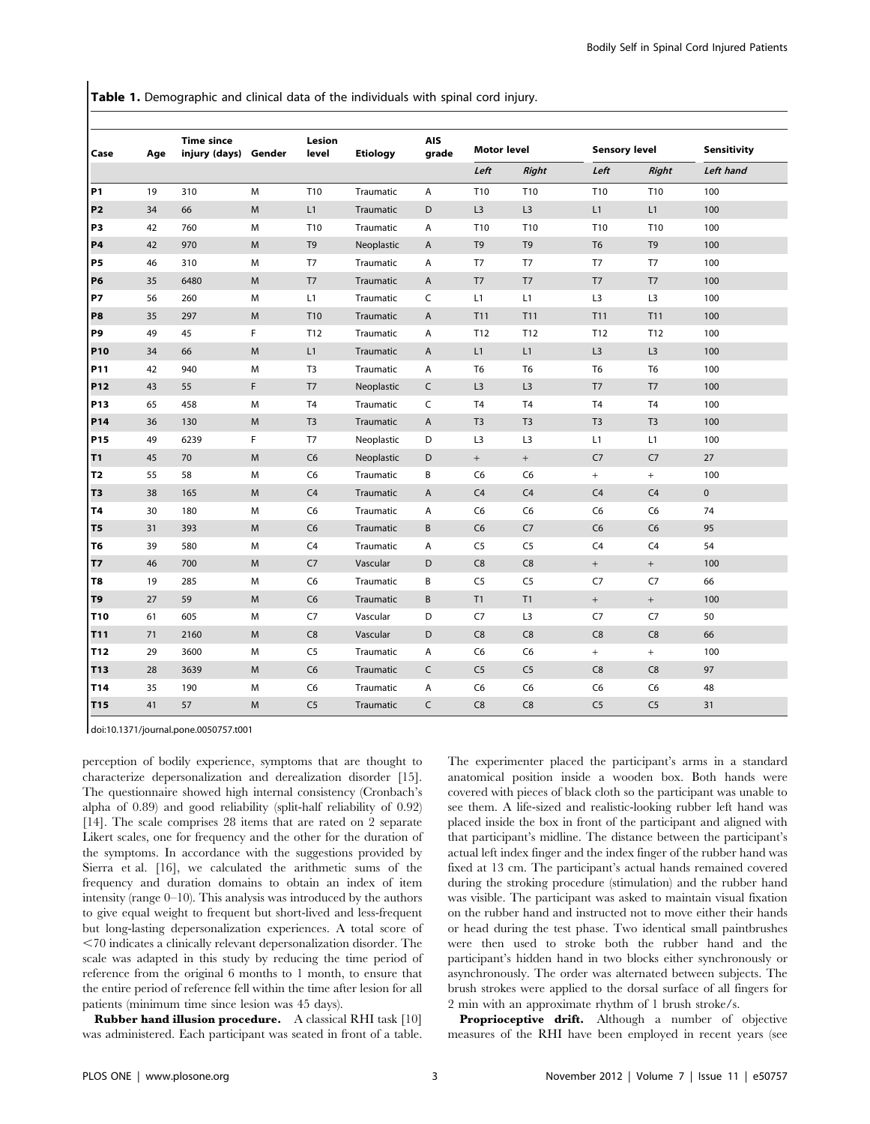**Table 1.** Demographic and clinical data of the individuals with spinal cord injury.

| Case            | Age | <b>Time since</b><br>injury (days) Gender |   | Lesion<br>level | <b>Etiology</b>  | <b>AIS</b><br>grade       | <b>Motor level</b> |                 | <b>Sensory level</b> |                 | Sensitivity |
|-----------------|-----|-------------------------------------------|---|-----------------|------------------|---------------------------|--------------------|-----------------|----------------------|-----------------|-------------|
|                 |     |                                           |   |                 |                  |                           | Left               | <b>Right</b>    | Left                 | <b>Right</b>    | Left hand   |
| <b>P1</b>       | 19  | 310                                       | M | T10             | Traumatic        | Α                         | T10                | T <sub>10</sub> | T10                  | T10             | 100         |
| P <sub>2</sub>  | 34  | 66                                        | M | L1              | Traumatic        | D                         | L3                 | L3              | L1                   | L1              | 100         |
| P3              | 42  | 760                                       | M | T <sub>10</sub> | Traumatic        | Α                         | T <sub>10</sub>    | T10             | T10                  | T10             | 100         |
| <b>P4</b>       | 42  | 970                                       | M | T <sub>9</sub>  | Neoplastic       | Α                         | T <sub>9</sub>     | T <sub>9</sub>  | T <sub>6</sub>       | T <sub>9</sub>  | 100         |
| <b>P5</b>       | 46  | 310                                       | M | T <sub>7</sub>  | Traumatic        | Α                         | T <sub>7</sub>     | T <sub>7</sub>  | T7                   | T <sub>7</sub>  | 100         |
| <b>P6</b>       | 35  | 6480                                      | M | T7              | Traumatic        | $\mathsf A$               | T <sub>7</sub>     | T7              | T7                   | T7              | 100         |
| <b>P7</b>       | 56  | 260                                       | M | L1              | Traumatic        | $\mathsf C$               | L1                 | L1              | L <sub>3</sub>       | L <sub>3</sub>  | 100         |
| P8              | 35  | 297                                       | M | T10             | Traumatic        | Α                         | T11                | T11             | T11                  | T11             | 100         |
| P9              | 49  | 45                                        | F | T <sub>12</sub> | Traumatic        | Α                         | T <sub>12</sub>    | T12             | T <sub>12</sub>      | T <sub>12</sub> | 100         |
| P10             | 34  | 66                                        | M | L1              | Traumatic        | A                         | L1                 | L1              | L <sub>3</sub>       | L <sub>3</sub>  | 100         |
| P11             | 42  | 940                                       | M | T <sub>3</sub>  | Traumatic        | Α                         | T <sub>6</sub>     | T <sub>6</sub>  | T <sub>6</sub>       | T <sub>6</sub>  | 100         |
| P12             | 43  | 55                                        | F | T7              | Neoplastic       | C                         | L3                 | L3              | T <sub>7</sub>       | T <sub>7</sub>  | 100         |
| P13             | 65  | 458                                       | M | T <sub>4</sub>  | Traumatic        | C                         | T <sub>4</sub>     | T <sub>4</sub>  | T <sub>4</sub>       | T <sub>4</sub>  | 100         |
| P14             | 36  | 130                                       | M | T <sub>3</sub>  | Traumatic        | $\boldsymbol{\mathsf{A}}$ | T <sub>3</sub>     | T <sub>3</sub>  | T <sub>3</sub>       | T <sub>3</sub>  | 100         |
| P15             | 49  | 6239                                      | F | T7              | Neoplastic       | D                         | L <sub>3</sub>     | L <sub>3</sub>  | L1                   | L1              | 100         |
| T1              | 45  | 70                                        | M | C6              | Neoplastic       | D                         | $+$                | $+$             | C7                   | C7              | 27          |
| T2              | 55  | 58                                        | M | C <sub>6</sub>  | Traumatic        | B                         | C6                 | C <sub>6</sub>  | $+$                  | $^{+}$          | 100         |
| T3              | 38  | 165                                       | M | C4              | Traumatic        | A                         | C <sub>4</sub>     | C <sub>4</sub>  | C <sub>4</sub>       | C <sub>4</sub>  | $\mathbf 0$ |
| T4              | 30  | 180                                       | M | C <sub>6</sub>  | Traumatic        | A                         | C6                 | C <sub>6</sub>  | C <sub>6</sub>       | C <sub>6</sub>  | 74          |
| Τ5              | 31  | 393                                       | M | C <sub>6</sub>  | Traumatic        | B                         | C <sub>6</sub>     | C7              | C <sub>6</sub>       | C <sub>6</sub>  | 95          |
| T6              | 39  | 580                                       | M | C4              | Traumatic        | Α                         | C <sub>5</sub>     | C <sub>5</sub>  | C <sub>4</sub>       | C <sub>4</sub>  | 54          |
| Τ7              | 46  | 700                                       | M | C7              | Vascular         | D                         | C8                 | C8              | $+$                  | $+$             | 100         |
| T8              | 19  | 285                                       | M | C <sub>6</sub>  | Traumatic        | B                         | C <sub>5</sub>     | C <sub>5</sub>  | C <sub>7</sub>       | C7              | 66          |
| T9              | 27  | 59                                        | M | C6              | Traumatic        | B                         | T1                 | T1              | $+$                  | $+$             | 100         |
| T <sub>10</sub> | 61  | 605                                       | M | C7              | Vascular         | D                         | C7                 | L <sub>3</sub>  | C7                   | C7              | 50          |
| T11             | 71  | 2160                                      | M | C8              | Vascular         | D                         | C8                 | C8              | C8                   | C8              | 66          |
| T12             | 29  | 3600                                      | M | C <sub>5</sub>  | Traumatic        | A                         | C <sub>6</sub>     | C <sub>6</sub>  | $+$                  | $^{+}$          | 100         |
| T13             | 28  | 3639                                      | M | C <sub>6</sub>  | <b>Traumatic</b> | C                         | C <sub>5</sub>     | C <sub>5</sub>  | C8                   | C8              | 97          |
| T14             | 35  | 190                                       | M | C6              | Traumatic        | Α                         | C6                 | C <sub>6</sub>  | C <sub>6</sub>       | C <sub>6</sub>  | 48          |
| T <sub>15</sub> | 41  | 57                                        | M | C <sub>5</sub>  | Traumatic        | C                         | C8                 | C8              | C <sub>5</sub>       | C <sub>5</sub>  | 31          |

doi:10.1371/journal.pone.0050757.t001

perception of bodily experience, symptoms that are thought to characterize depersonalization and derealization disorder [15]. The questionnaire showed high internal consistency (Cronbach's alpha of 0.89) and good reliability (split-half reliability of 0.92) [14]. The scale comprises 28 items that are rated on 2 separate Likert scales, one for frequency and the other for the duration of the symptoms. In accordance with the suggestions provided by Sierra et al. [16], we calculated the arithmetic sums of the frequency and duration domains to obtain an index of item intensity (range 0–10). This analysis was introduced by the authors to give equal weight to frequent but short-lived and less-frequent but long-lasting depersonalization experiences. A total score of  $<$ 70 indicates a clinically relevant depersonalization disorder. The scale was adapted in this study by reducing the time period of reference from the original 6 months to 1 month, to ensure that the entire period of reference fell within the time after lesion for all patients (minimum time since lesion was 45 days).

Rubber hand illusion procedure. A classical RHI task [10] was administered. Each participant was seated in front of a table. The experimenter placed the participant's arms in a standard anatomical position inside a wooden box. Both hands were covered with pieces of black cloth so the participant was unable to see them. A life-sized and realistic-looking rubber left hand was placed inside the box in front of the participant and aligned with that participant's midline. The distance between the participant's actual left index finger and the index finger of the rubber hand was fixed at 13 cm. The participant's actual hands remained covered during the stroking procedure (stimulation) and the rubber hand was visible. The participant was asked to maintain visual fixation on the rubber hand and instructed not to move either their hands or head during the test phase. Two identical small paintbrushes were then used to stroke both the rubber hand and the participant's hidden hand in two blocks either synchronously or asynchronously. The order was alternated between subjects. The brush strokes were applied to the dorsal surface of all fingers for 2 min with an approximate rhythm of 1 brush stroke/s.

Proprioceptive drift. Although a number of objective measures of the RHI have been employed in recent years (see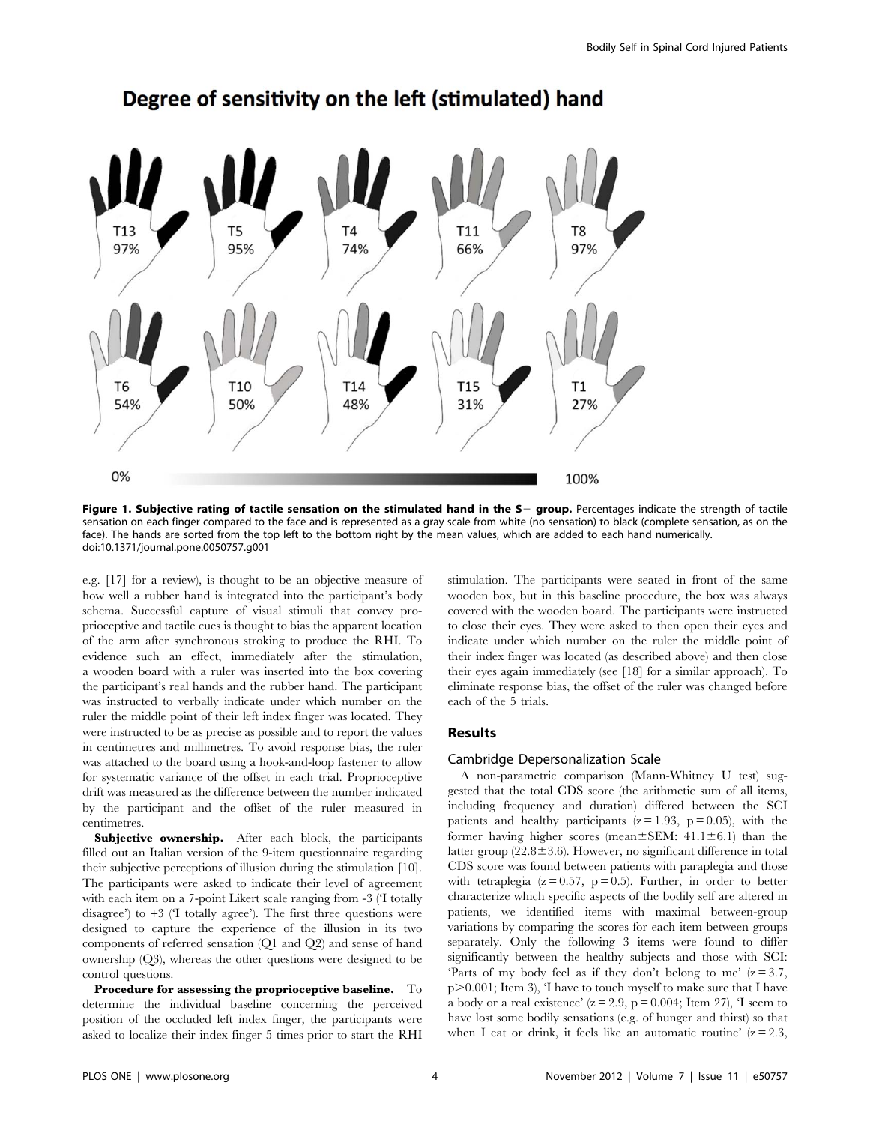

# Degree of sensitivity on the left (stimulated) hand

Figure 1. Subjective rating of tactile sensation on the stimulated hand in the S- group. Percentages indicate the strength of tactile sensation on each finger compared to the face and is represented as a gray scale from white (no sensation) to black (complete sensation, as on the face). The hands are sorted from the top left to the bottom right by the mean values, which are added to each hand numerically. doi:10.1371/journal.pone.0050757.g001

e.g. [17] for a review), is thought to be an objective measure of how well a rubber hand is integrated into the participant's body schema. Successful capture of visual stimuli that convey proprioceptive and tactile cues is thought to bias the apparent location of the arm after synchronous stroking to produce the RHI. To evidence such an effect, immediately after the stimulation, a wooden board with a ruler was inserted into the box covering the participant's real hands and the rubber hand. The participant was instructed to verbally indicate under which number on the ruler the middle point of their left index finger was located. They were instructed to be as precise as possible and to report the values in centimetres and millimetres. To avoid response bias, the ruler was attached to the board using a hook-and-loop fastener to allow for systematic variance of the offset in each trial. Proprioceptive drift was measured as the difference between the number indicated by the participant and the offset of the ruler measured in centimetres.

Subjective ownership. After each block, the participants filled out an Italian version of the 9-item questionnaire regarding their subjective perceptions of illusion during the stimulation [10]. The participants were asked to indicate their level of agreement with each item on a 7-point Likert scale ranging from -3 ('I totally disagree') to  $+3$  ('I totally agree'). The first three questions were designed to capture the experience of the illusion in its two components of referred sensation (Q1 and Q2) and sense of hand ownership (Q3), whereas the other questions were designed to be control questions.

Procedure for assessing the proprioceptive baseline. To determine the individual baseline concerning the perceived position of the occluded left index finger, the participants were asked to localize their index finger 5 times prior to start the RHI stimulation. The participants were seated in front of the same wooden box, but in this baseline procedure, the box was always covered with the wooden board. The participants were instructed to close their eyes. They were asked to then open their eyes and indicate under which number on the ruler the middle point of their index finger was located (as described above) and then close their eyes again immediately (see [18] for a similar approach). To eliminate response bias, the offset of the ruler was changed before each of the 5 trials.

#### Results

#### Cambridge Depersonalization Scale

A non-parametric comparison (Mann-Whitney U test) suggested that the total CDS score (the arithmetic sum of all items, including frequency and duration) differed between the SCI patients and healthy participants  $(z = 1.93, p = 0.05)$ , with the former having higher scores (mean $\pm$ SEM: 41.1 $\pm$ 6.1) than the latter group  $(22.8 \pm 3.6)$ . However, no significant difference in total CDS score was found between patients with paraplegia and those with tetraplegia  $(z=0.57, p=0.5)$ . Further, in order to better characterize which specific aspects of the bodily self are altered in patients, we identified items with maximal between-group variations by comparing the scores for each item between groups separately. Only the following 3 items were found to differ significantly between the healthy subjects and those with SCI: 'Parts of my body feel as if they don't belong to me'  $(z=3.7, z=3.7)$  $p>0.001$ ; Item 3), T have to touch myself to make sure that I have a body or a real existence'  $(z = 2.9, p = 0.004;$  Item 27), 'I seem to have lost some bodily sensations (e.g. of hunger and thirst) so that when I eat or drink, it feels like an automatic routine'  $(z = 2.3$ ,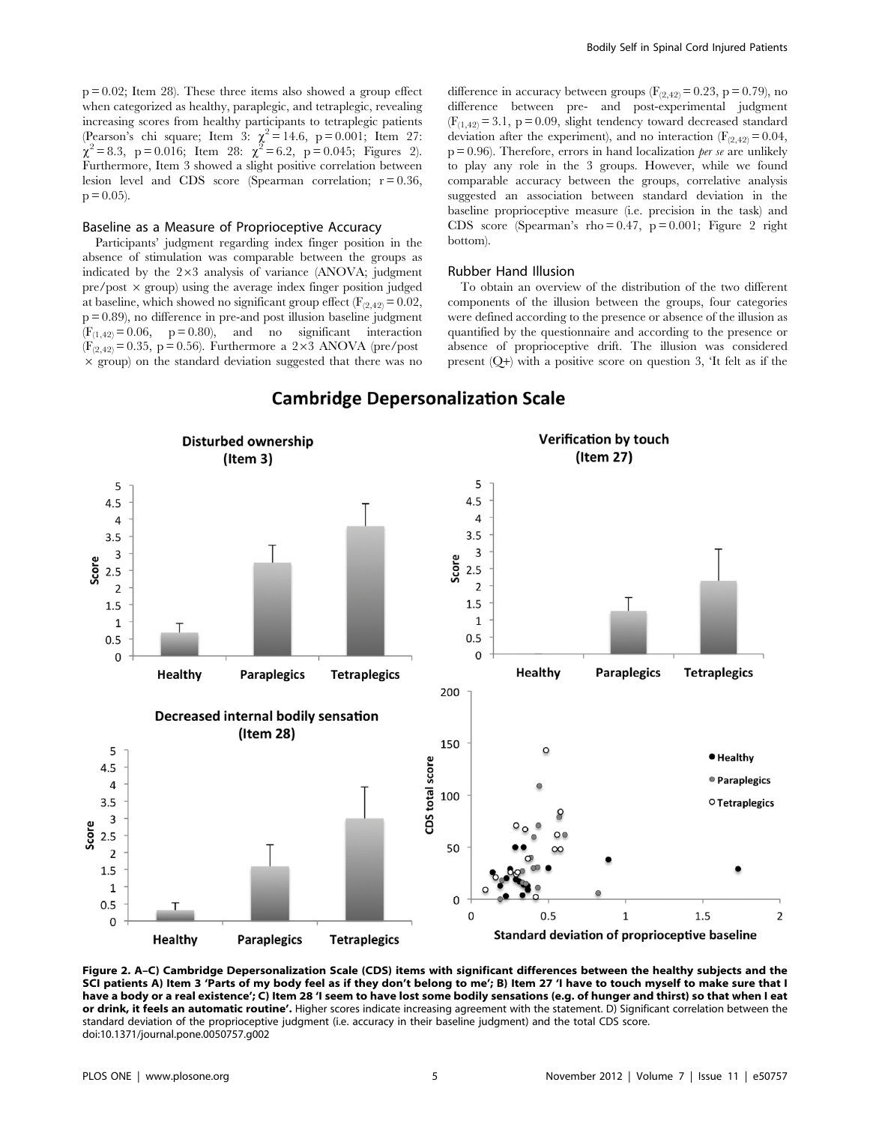$p = 0.02$ ; Item 28). These three items also showed a group effect when categorized as healthy, paraplegic, and tetraplegic, revealing increasing scores from healthy participants to tetraplegic patients (Pearson's chi square; Item 3:  $\chi^2 = 14.6$ , p = 0.001; Item 27:  $\chi^2 = 8.3$ , p = 0.016; Item 28:  $\chi^2 = 6.2$ , p = 0.045; Figures 2). Furthermore, Item 3 showed a slight positive correlation between lesion level and CDS score (Spearman correlation;  $r = 0.36$ ,  $p = 0.05$ ).

#### Baseline as a Measure of Proprioceptive Accuracy

Participants' judgment regarding index finger position in the absence of stimulation was comparable between the groups as indicated by the  $2\times3$  analysis of variance (ANOVA; judgment  $pre/post \times group$ ) using the average index finger position judged at baseline, which showed no significant group effect  $(F_{(2,42)}= 0.02)$ , p = 0.89), no difference in pre-and post illusion baseline judgment  $(F<sub>(1,42)</sub> = 0.06, p = 0.80)$ , and no significant interaction  $(F_{(2,42)}= 0.35, p = 0.56)$ . Furthermore a 2×3 ANOVA (pre/post  $\times$  group) on the standard deviation suggested that there was no difference in accuracy between groups  $(F_{(2,42)} = 0.23, p = 0.79)$ , no difference between pre- and post-experimental judgment  $(F<sub>(1,42)</sub> = 3.1, p = 0.09,$  slight tendency toward decreased standard deviation after the experiment), and no interaction  $(F_{(2,42)}=0.04,$  $p = 0.96$ ). Therefore, errors in hand localization *per se* are unlikely to play any role in the 3 groups. However, while we found comparable accuracy between the groups, correlative analysis suggested an association between standard deviation in the baseline proprioceptive measure (i.e. precision in the task) and CDS score (Spearman's rho =  $0.47$ , p =  $0.001$ ; Figure 2 right bottom).

#### Rubber Hand Illusion

To obtain an overview of the distribution of the two different components of the illusion between the groups, four categories were defined according to the presence or absence of the illusion as quantified by the questionnaire and according to the presence or absence of proprioceptive drift. The illusion was considered present (Q+) with a positive score on question 3, 'It felt as if the



#### **Cambridge Depersonalization Scale**

Figure 2. A–C) Cambridge Depersonalization Scale (CDS) items with significant differences between the healthy subjects and the SCI patients A) Item 3 'Parts of my body feel as if they don't belong to me'; B) Item 27 'I have to touch myself to make sure that I have a body or a real existence'; C) Item 28 'I seem to have lost some bodily sensations (e.g. of hunger and thirst) so that when I eat or drink, it feels an automatic routine'. Higher scores indicate increasing agreement with the statement. D) Significant correlation between the standard deviation of the proprioceptive judgment (i.e. accuracy in their baseline judgment) and the total CDS score. doi:10.1371/journal.pone.0050757.g002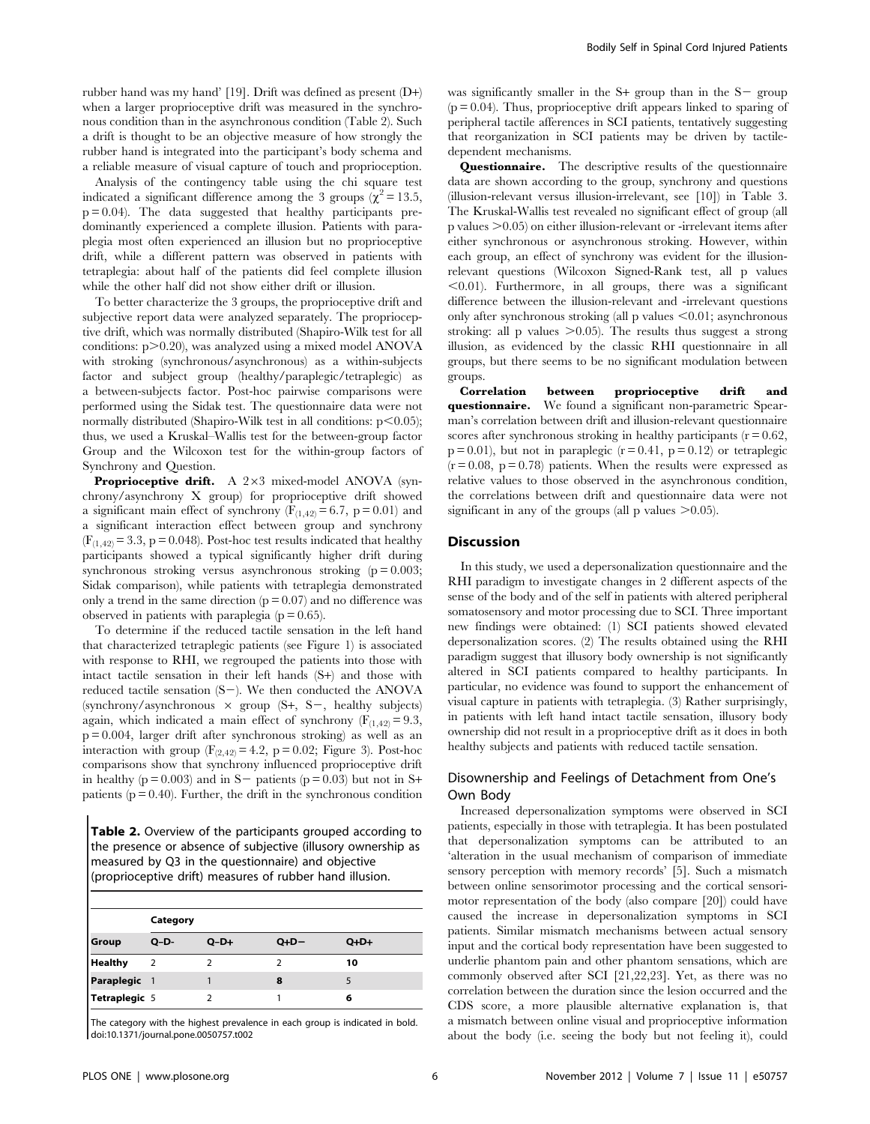rubber hand was my hand' [19]. Drift was defined as present (D+) when a larger proprioceptive drift was measured in the synchronous condition than in the asynchronous condition (Table 2). Such a drift is thought to be an objective measure of how strongly the rubber hand is integrated into the participant's body schema and a reliable measure of visual capture of touch and proprioception.

Analysis of the contingency table using the chi square test indicated a significant difference among the 3 groups ( $\chi^2$  = 13.5,  $p = 0.04$ ). The data suggested that healthy participants predominantly experienced a complete illusion. Patients with paraplegia most often experienced an illusion but no proprioceptive drift, while a different pattern was observed in patients with tetraplegia: about half of the patients did feel complete illusion while the other half did not show either drift or illusion.

To better characterize the 3 groups, the proprioceptive drift and subjective report data were analyzed separately. The proprioceptive drift, which was normally distributed (Shapiro-Wilk test for all conditions:  $p > 0.20$ , was analyzed using a mixed model ANOVA with stroking (synchronous/asynchronous) as a within-subjects factor and subject group (healthy/paraplegic/tetraplegic) as a between-subjects factor. Post-hoc pairwise comparisons were performed using the Sidak test. The questionnaire data were not normally distributed (Shapiro-Wilk test in all conditions:  $p<0.05$ ); thus, we used a Kruskal–Wallis test for the between-group factor Group and the Wilcoxon test for the within-group factors of Synchrony and Question.

Proprioceptive drift. A  $2\times3$  mixed-model ANOVA (synchrony/asynchrony X group) for proprioceptive drift showed a significant main effect of synchrony ( $F_{(1,42)} = 6.7$ , p = 0.01) and a significant interaction effect between group and synchrony  $(F<sub>(1,42)</sub> = 3.3, p = 0.048)$ . Post-hoc test results indicated that healthy participants showed a typical significantly higher drift during synchronous stroking versus asynchronous stroking  $(p = 0.003;$ Sidak comparison), while patients with tetraplegia demonstrated only a trend in the same direction  $(p = 0.07)$  and no difference was observed in patients with paraplegia  $(p = 0.65)$ .

To determine if the reduced tactile sensation in the left hand that characterized tetraplegic patients (see Figure 1) is associated with response to RHI, we regrouped the patients into those with intact tactile sensation in their left hands (S+) and those with reduced tactile sensation  $(S-)$ . We then conducted the ANOVA (synchrony/asynchronous  $\times$  group (S+, S-, healthy subjects) again, which indicated a main effect of synchrony ( $F_{(1,42)} = 9.3$ , p = 0.004, larger drift after synchronous stroking) as well as an interaction with group  $(F_{(2,42)} = 4.2, p = 0.02;$  Figure 3). Post-hoc comparisons show that synchrony influenced proprioceptive drift in healthy ( $p = 0.003$ ) and in S- patients ( $p = 0.03$ ) but not in S+ patients ( $p = 0.40$ ). Further, the drift in the synchronous condition

Table 2. Overview of the participants grouped according to the presence or absence of subjective (illusory ownership as measured by Q3 in the questionnaire) and objective (proprioceptive drift) measures of rubber hand illusion.

|                | Category |        |      |        |  |  |  |  |
|----------------|----------|--------|------|--------|--|--|--|--|
| Group          | $Q-D-$   | $Q-D+$ | O+D- | $Q+D+$ |  |  |  |  |
| <b>Healthy</b> | 2        |        |      | 10     |  |  |  |  |
| Paraplegic 1   |          |        | 8    | 5      |  |  |  |  |
| Tetraplegic 5  |          | っ      |      | 6      |  |  |  |  |

The category with the highest prevalence in each group is indicated in bold. doi:10.1371/journal.pone.0050757.t002

was significantly smaller in the  $S+$  group than in the  $S-$  group  $(p = 0.04)$ . Thus, proprioceptive drift appears linked to sparing of peripheral tactile afferences in SCI patients, tentatively suggesting that reorganization in SCI patients may be driven by tactiledependent mechanisms.

Questionnaire. The descriptive results of the questionnaire data are shown according to the group, synchrony and questions (illusion-relevant versus illusion-irrelevant, see [10]) in Table 3. The Kruskal-Wallis test revealed no significant effect of group (all  $p$  values  $\geq 0.05$ ) on either illusion-relevant or -irrelevant items after either synchronous or asynchronous stroking. However, within each group, an effect of synchrony was evident for the illusionrelevant questions (Wilcoxon Signed-Rank test, all p values  $(0.01)$ . Furthermore, in all groups, there was a significant difference between the illusion-relevant and -irrelevant questions only after synchronous stroking (all  $p$  values  $\leq 0.01$ ; asynchronous stroking: all p values  $>0.05$ ). The results thus suggest a strong illusion, as evidenced by the classic RHI questionnaire in all groups, but there seems to be no significant modulation between groups.

Correlation between proprioceptive drift and questionnaire. We found a significant non-parametric Spearman's correlation between drift and illusion-relevant questionnaire scores after synchronous stroking in healthy participants  $(r = 0.62)$ ,  $p = 0.01$ ), but not in paraplegic ( $r = 0.41$ ,  $p = 0.12$ ) or tetraplegic  $(r = 0.08, p = 0.78)$  patients. When the results were expressed as relative values to those observed in the asynchronous condition, the correlations between drift and questionnaire data were not significant in any of the groups (all p values  $>0.05$ ).

#### Discussion

In this study, we used a depersonalization questionnaire and the RHI paradigm to investigate changes in 2 different aspects of the sense of the body and of the self in patients with altered peripheral somatosensory and motor processing due to SCI. Three important new findings were obtained: (1) SCI patients showed elevated depersonalization scores. (2) The results obtained using the RHI paradigm suggest that illusory body ownership is not significantly altered in SCI patients compared to healthy participants. In particular, no evidence was found to support the enhancement of visual capture in patients with tetraplegia. (3) Rather surprisingly, in patients with left hand intact tactile sensation, illusory body ownership did not result in a proprioceptive drift as it does in both healthy subjects and patients with reduced tactile sensation.

#### Disownership and Feelings of Detachment from One's Own Body

Increased depersonalization symptoms were observed in SCI patients, especially in those with tetraplegia. It has been postulated that depersonalization symptoms can be attributed to an 'alteration in the usual mechanism of comparison of immediate sensory perception with memory records' [5]. Such a mismatch between online sensorimotor processing and the cortical sensorimotor representation of the body (also compare [20]) could have caused the increase in depersonalization symptoms in SCI patients. Similar mismatch mechanisms between actual sensory input and the cortical body representation have been suggested to underlie phantom pain and other phantom sensations, which are commonly observed after SCI [21,22,23]. Yet, as there was no correlation between the duration since the lesion occurred and the CDS score, a more plausible alternative explanation is, that a mismatch between online visual and proprioceptive information about the body (i.e. seeing the body but not feeling it), could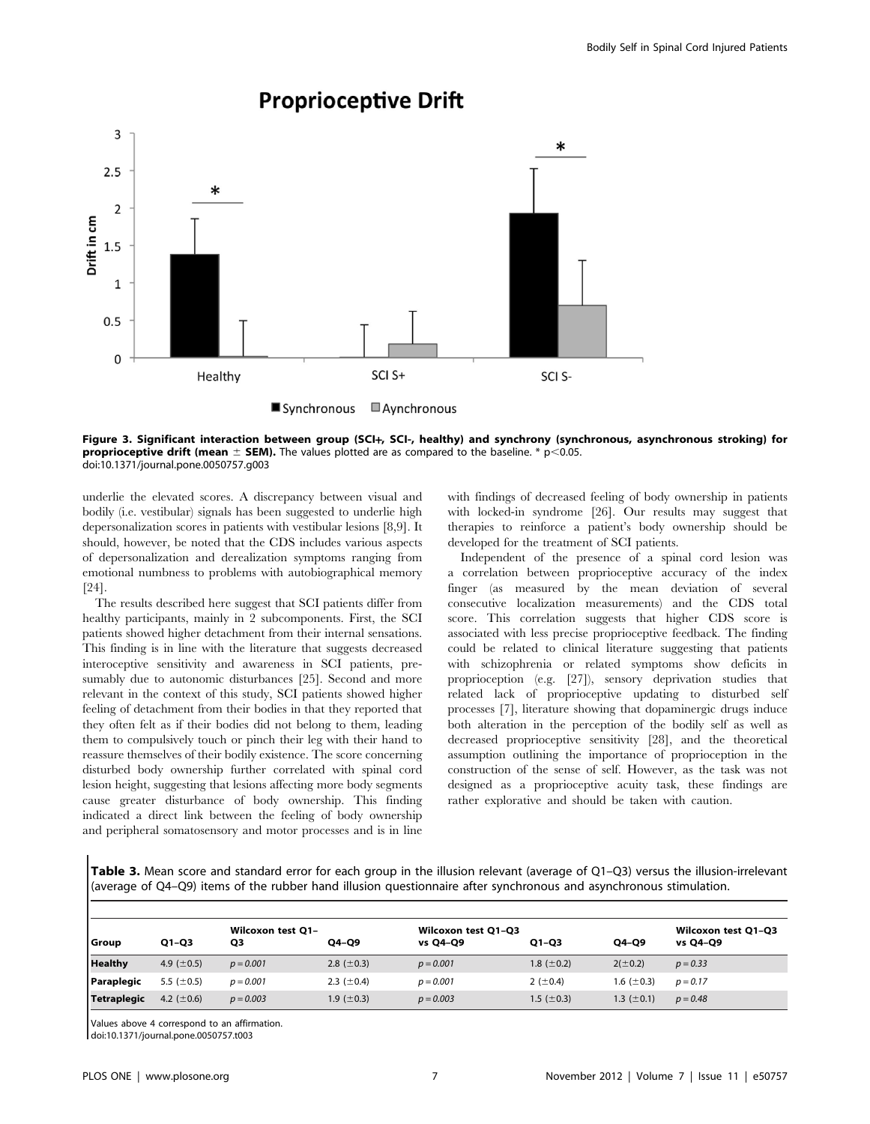

## **Proprioceptive Drift**

Figure 3. Significant interaction between group (SCI+, SCI-, healthy) and synchrony (synchronous, asynchronous stroking) for **proprioceptive drift (mean**  $\pm$  **SEM).** The values plotted are as compared to the baseline. \* p<0.05. doi:10.1371/journal.pone.0050757.g003

underlie the elevated scores. A discrepancy between visual and bodily (i.e. vestibular) signals has been suggested to underlie high depersonalization scores in patients with vestibular lesions [8,9]. It should, however, be noted that the CDS includes various aspects of depersonalization and derealization symptoms ranging from emotional numbness to problems with autobiographical memory [24].

The results described here suggest that SCI patients differ from healthy participants, mainly in 2 subcomponents. First, the SCI patients showed higher detachment from their internal sensations. This finding is in line with the literature that suggests decreased interoceptive sensitivity and awareness in SCI patients, presumably due to autonomic disturbances [25]. Second and more relevant in the context of this study, SCI patients showed higher feeling of detachment from their bodies in that they reported that they often felt as if their bodies did not belong to them, leading them to compulsively touch or pinch their leg with their hand to reassure themselves of their bodily existence. The score concerning disturbed body ownership further correlated with spinal cord lesion height, suggesting that lesions affecting more body segments cause greater disturbance of body ownership. This finding indicated a direct link between the feeling of body ownership and peripheral somatosensory and motor processes and is in line

with findings of decreased feeling of body ownership in patients with locked-in syndrome [26]. Our results may suggest that therapies to reinforce a patient's body ownership should be developed for the treatment of SCI patients.

Independent of the presence of a spinal cord lesion was a correlation between proprioceptive accuracy of the index finger (as measured by the mean deviation of several consecutive localization measurements) and the CDS total score. This correlation suggests that higher CDS score is associated with less precise proprioceptive feedback. The finding could be related to clinical literature suggesting that patients with schizophrenia or related symptoms show deficits in proprioception (e.g. [27]), sensory deprivation studies that related lack of proprioceptive updating to disturbed self processes [7], literature showing that dopaminergic drugs induce both alteration in the perception of the bodily self as well as decreased proprioceptive sensitivity [28], and the theoretical assumption outlining the importance of proprioception in the construction of the sense of self. However, as the task was not designed as a proprioceptive acuity task, these findings are rather explorative and should be taken with caution.

Table 3. Mean score and standard error for each group in the illusion relevant (average of Q1–Q3) versus the illusion-irrelevant (average of Q4–Q9) items of the rubber hand illusion questionnaire after synchronous and asynchronous stimulation.

| Group          | $Q1-Q3$          | Wilcoxon test Q1-<br>Q3 | Q4-Q9            | Wilcoxon test Q1-Q3<br>vs Q4-Q9 | $Q1-Q3$          | Q4-Q9           | Wilcoxon test Q1-Q3<br>vs Q4-Q9 |
|----------------|------------------|-------------------------|------------------|---------------------------------|------------------|-----------------|---------------------------------|
| <b>Healthy</b> | 4.9 $(\pm 0.5)$  | $p = 0.001$             | 2.8 $(\pm 0.3)$  | $p = 0.001$                     | 1.8 $(\pm 0.2)$  | $2(\pm 0.2)$    | $p = 0.33$                      |
| Paraplegic     | 5.5 ( $\pm$ 0.5) | $p = 0.001$             | 2.3 ( $\pm$ 0.4) | $p = 0.001$                     | 2 ( $\pm$ 0.4)   | 1.6 $(\pm 0.3)$ | $p = 0.17$                      |
| Tetraplegic    | 4.2 $(\pm 0.6)$  | $p = 0.003$             | 1.9 ( $\pm$ 0.3) | $p = 0.003$                     | 1.5 ( $\pm$ 0.3) | 1.3 $(\pm 0.1)$ | $p = 0.48$                      |

Values above 4 correspond to an affirmation.

doi:10.1371/journal.pone.0050757.t003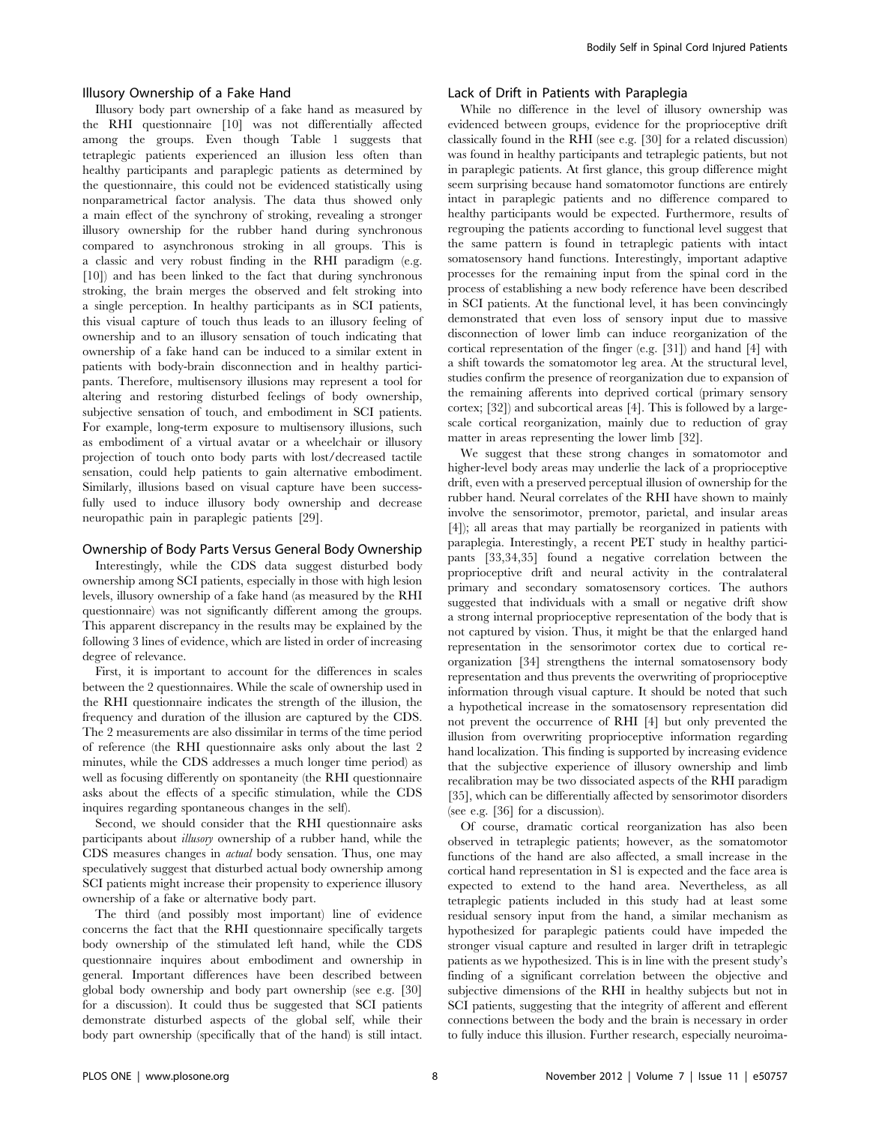#### Illusory Ownership of a Fake Hand

Illusory body part ownership of a fake hand as measured by the RHI questionnaire [10] was not differentially affected among the groups. Even though Table 1 suggests that tetraplegic patients experienced an illusion less often than healthy participants and paraplegic patients as determined by the questionnaire, this could not be evidenced statistically using nonparametrical factor analysis. The data thus showed only a main effect of the synchrony of stroking, revealing a stronger illusory ownership for the rubber hand during synchronous compared to asynchronous stroking in all groups. This is a classic and very robust finding in the RHI paradigm (e.g. [10]) and has been linked to the fact that during synchronous stroking, the brain merges the observed and felt stroking into a single perception. In healthy participants as in SCI patients, this visual capture of touch thus leads to an illusory feeling of ownership and to an illusory sensation of touch indicating that ownership of a fake hand can be induced to a similar extent in patients with body-brain disconnection and in healthy participants. Therefore, multisensory illusions may represent a tool for altering and restoring disturbed feelings of body ownership, subjective sensation of touch, and embodiment in SCI patients. For example, long-term exposure to multisensory illusions, such as embodiment of a virtual avatar or a wheelchair or illusory projection of touch onto body parts with lost/decreased tactile sensation, could help patients to gain alternative embodiment. Similarly, illusions based on visual capture have been successfully used to induce illusory body ownership and decrease neuropathic pain in paraplegic patients [29].

#### Ownership of Body Parts Versus General Body Ownership

Interestingly, while the CDS data suggest disturbed body ownership among SCI patients, especially in those with high lesion levels, illusory ownership of a fake hand (as measured by the RHI questionnaire) was not significantly different among the groups. This apparent discrepancy in the results may be explained by the following 3 lines of evidence, which are listed in order of increasing degree of relevance.

First, it is important to account for the differences in scales between the 2 questionnaires. While the scale of ownership used in the RHI questionnaire indicates the strength of the illusion, the frequency and duration of the illusion are captured by the CDS. The 2 measurements are also dissimilar in terms of the time period of reference (the RHI questionnaire asks only about the last 2 minutes, while the CDS addresses a much longer time period) as well as focusing differently on spontaneity (the RHI questionnaire asks about the effects of a specific stimulation, while the CDS inquires regarding spontaneous changes in the self).

Second, we should consider that the RHI questionnaire asks participants about illusory ownership of a rubber hand, while the CDS measures changes in actual body sensation. Thus, one may speculatively suggest that disturbed actual body ownership among SCI patients might increase their propensity to experience illusory ownership of a fake or alternative body part.

The third (and possibly most important) line of evidence concerns the fact that the RHI questionnaire specifically targets body ownership of the stimulated left hand, while the CDS questionnaire inquires about embodiment and ownership in general. Important differences have been described between global body ownership and body part ownership (see e.g. [30] for a discussion). It could thus be suggested that SCI patients demonstrate disturbed aspects of the global self, while their body part ownership (specifically that of the hand) is still intact.

#### Lack of Drift in Patients with Paraplegia

While no difference in the level of illusory ownership was evidenced between groups, evidence for the proprioceptive drift classically found in the RHI (see e.g. [30] for a related discussion) was found in healthy participants and tetraplegic patients, but not in paraplegic patients. At first glance, this group difference might seem surprising because hand somatomotor functions are entirely intact in paraplegic patients and no difference compared to healthy participants would be expected. Furthermore, results of regrouping the patients according to functional level suggest that the same pattern is found in tetraplegic patients with intact somatosensory hand functions. Interestingly, important adaptive processes for the remaining input from the spinal cord in the process of establishing a new body reference have been described in SCI patients. At the functional level, it has been convincingly demonstrated that even loss of sensory input due to massive disconnection of lower limb can induce reorganization of the cortical representation of the finger (e.g. [31]) and hand [4] with a shift towards the somatomotor leg area. At the structural level, studies confirm the presence of reorganization due to expansion of the remaining afferents into deprived cortical (primary sensory cortex; [32]) and subcortical areas [4]. This is followed by a largescale cortical reorganization, mainly due to reduction of gray matter in areas representing the lower limb [32].

We suggest that these strong changes in somatomotor and higher-level body areas may underlie the lack of a proprioceptive drift, even with a preserved perceptual illusion of ownership for the rubber hand. Neural correlates of the RHI have shown to mainly involve the sensorimotor, premotor, parietal, and insular areas [4]); all areas that may partially be reorganized in patients with paraplegia. Interestingly, a recent PET study in healthy participants [33,34,35] found a negative correlation between the proprioceptive drift and neural activity in the contralateral primary and secondary somatosensory cortices. The authors suggested that individuals with a small or negative drift show a strong internal proprioceptive representation of the body that is not captured by vision. Thus, it might be that the enlarged hand representation in the sensorimotor cortex due to cortical reorganization [34] strengthens the internal somatosensory body representation and thus prevents the overwriting of proprioceptive information through visual capture. It should be noted that such a hypothetical increase in the somatosensory representation did not prevent the occurrence of RHI [4] but only prevented the illusion from overwriting proprioceptive information regarding hand localization. This finding is supported by increasing evidence that the subjective experience of illusory ownership and limb recalibration may be two dissociated aspects of the RHI paradigm [35], which can be differentially affected by sensorimotor disorders (see e.g. [36] for a discussion).

Of course, dramatic cortical reorganization has also been observed in tetraplegic patients; however, as the somatomotor functions of the hand are also affected, a small increase in the cortical hand representation in S1 is expected and the face area is expected to extend to the hand area. Nevertheless, as all tetraplegic patients included in this study had at least some residual sensory input from the hand, a similar mechanism as hypothesized for paraplegic patients could have impeded the stronger visual capture and resulted in larger drift in tetraplegic patients as we hypothesized. This is in line with the present study's finding of a significant correlation between the objective and subjective dimensions of the RHI in healthy subjects but not in SCI patients, suggesting that the integrity of afferent and efferent connections between the body and the brain is necessary in order to fully induce this illusion. Further research, especially neuroima